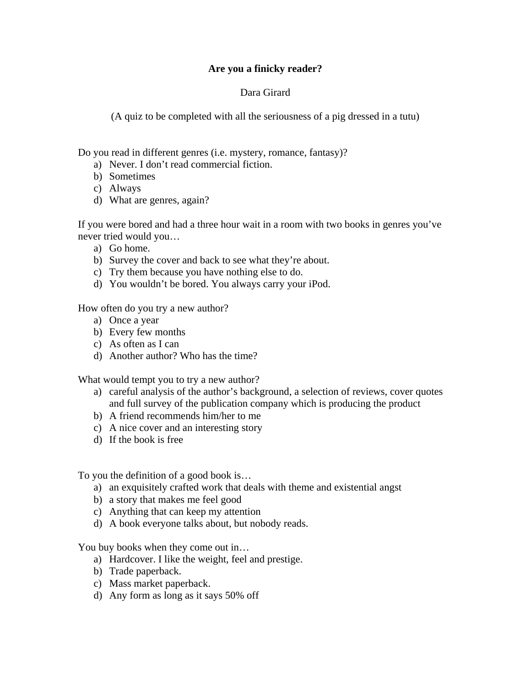## **Are you a finicky reader?**

## Dara Girard

(A quiz to be completed with all the seriousness of a pig dressed in a tutu)

Do you read in different genres (i.e. mystery, romance, fantasy)?

- a) Never. I don't read commercial fiction.
- b) Sometimes
- c) Always
- d) What are genres, again?

If you were bored and had a three hour wait in a room with two books in genres you've never tried would you…

- a) Go home.
- b) Survey the cover and back to see what they're about.
- c) Try them because you have nothing else to do.
- d) You wouldn't be bored. You always carry your iPod.

How often do you try a new author?

- a) Once a year
- b) Every few months
- c) As often as I can
- d) Another author? Who has the time?

What would tempt you to try a new author?

- a) careful analysis of the author's background, a selection of reviews, cover quotes and full survey of the publication company which is producing the product
- b) A friend recommends him/her to me
- c) A nice cover and an interesting story
- d) If the book is free

To you the definition of a good book is…

- a) an exquisitely crafted work that deals with theme and existential angst
- b) a story that makes me feel good
- c) Anything that can keep my attention
- d) A book everyone talks about, but nobody reads.

You buy books when they come out in…

- a) Hardcover. I like the weight, feel and prestige.
- b) Trade paperback.
- c) Mass market paperback.
- d) Any form as long as it says 50% off